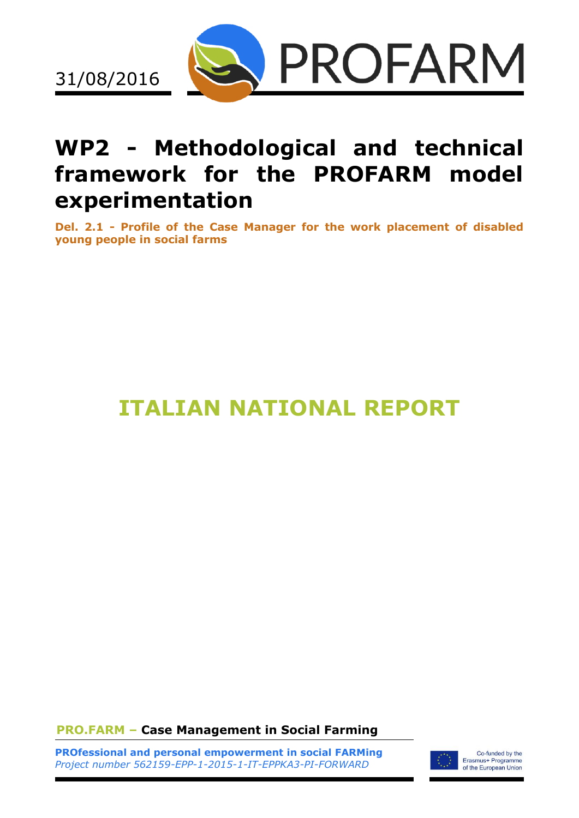

## **WP2 - Methodological and technical framework for the PROFARM model experimentation**

**Del. 2.1 - Profile of the Case Manager for the work placement of disabled young people in social farms**

# **ITALIAN NATIONAL REPORT**

**PRO.FARM – Case Management in Social Farming**

**PROfessional and personal empowerment in social FARMing** *Project number 562159-EPP-1-2015-1-IT-EPPKA3-PI-FORWARD*



Co-funded by the Erasmus+ Programme<br>of the European Union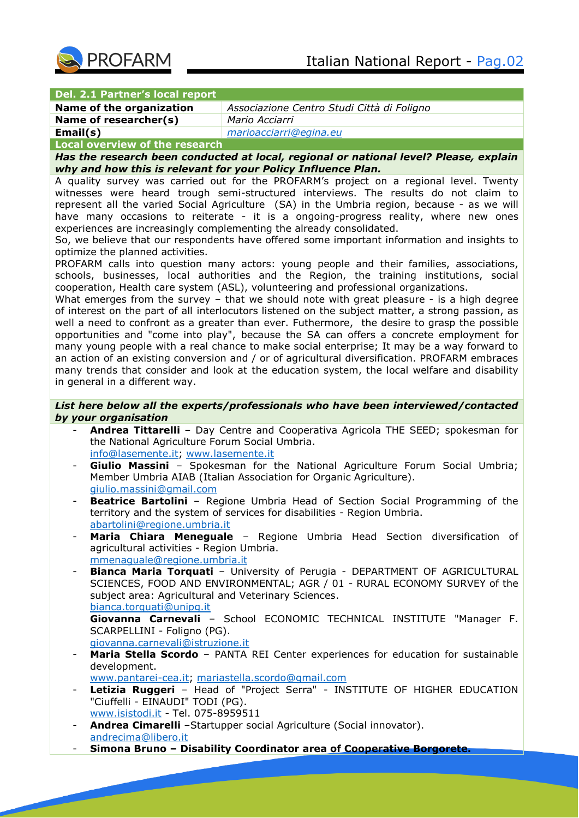

#### **Del. 2.1 Partner's local report**

| Name of the organization | Associazione Centro Studi Città di Foligno |
|--------------------------|--------------------------------------------|
| Name of researcher(s)    | Mario Acciarri                             |
| Email(s)                 | marioacciarri@egina.eu                     |

#### **Local overview of the research**

*Has the research been conducted at local, regional or national level? Please, explain why and how this is relevant for your Policy Influence Plan.*

A quality survey was carried out for the PROFARM's project on a regional level. Twenty witnesses were heard trough semi-structured interviews. The results do not claim to represent all the varied Social Agriculture (SA) in the Umbria region, because - as we will have many occasions to reiterate - it is a ongoing-progress reality, where new ones experiences are increasingly complementing the already consolidated.

So, we believe that our respondents have offered some important information and insights to optimize the planned activities.

PROFARM calls into question many actors: young people and their families, associations, schools, businesses, local authorities and the Region, the training institutions, social cooperation, Health care system (ASL), volunteering and professional organizations.

What emerges from the survey - that we should note with great pleasure - is a high degree of interest on the part of all interlocutors listened on the subject matter, a strong passion, as well a need to confront as a greater than ever. Futhermore, the desire to grasp the possible opportunities and "come into play", because the SA can offers a concrete employment for many young people with a real chance to make social enterprise; It may be a way forward to an action of an existing conversion and / or of agricultural diversification. PROFARM embraces many trends that consider and look at the education system, the local welfare and disability in general in a different way.

## *List here below all the experts/professionals who have been interviewed/contacted by your organisation*

- Andrea Tittarelli Day Centre and Cooperativa Agricola THE SEED; spokesman for the National Agriculture Forum Social Umbria. [info@lasemente.it;](mailto:info@lasemente.it) [www.lasemente.it](http://www.lasemente.it/)
- Giulio Massini Spokesman for the National Agriculture Forum Social Umbria; Member Umbria AIAB (Italian Association for Organic Agriculture). [giulio.massini@gmail.com](mailto:giulio.massini@gmail.com)
- **Beatrice Bartolini** Regione Umbria Head of Section Social Programming of the territory and the system of services for disabilities - Region Umbria. [abartolini@regione.umbria.it](mailto:abartolini@regione.umbria.it)
- Maria Chiara Meneguale Regione Umbria Head Section diversification of agricultural activities - Region Umbria.

[mmenaguale@regione.umbria.it](mailto:mmenaguale@regione.umbria.it)

- **Bianca Maria Torquati** – University of Perugia - DEPARTMENT OF AGRICULTURAL SCIENCES, FOOD AND ENVIRONMENTAL; AGR / 01 - RURAL ECONOMY SURVEY of the subject area: Agricultural and Veterinary Sciences.

[bianca.torquati@unipg.it](mailto:bianca.torquati@unipg.it)

**Giovanna Carnevali** – School ECONOMIC TECHNICAL INSTITUTE "Manager F. SCARPELLINI - Foligno (PG).

[giovanna.carnevali@istruzione.it](mailto:giovanna.carnevali@istruzione.it)

- **Maria Stella Scordo**  PANTA REI Center experiences for education for sustainable development.
	- [www.pantarei-cea.it;](http://www.pantarei-cea.it/) [mariastella.scordo@gmail.com](mailto:mariastella.scordo@gmail.com)
- Letizia Ruggeri Head of "Project Serra" INSTITUTE OF HIGHER EDUCATION "Ciuffelli - EINAUDI" TODI (PG). [www.isistodi.it](http://www.isistodi.it/) - Tel. 075-8959511
- **Andrea Cimarelli** –Startupper social Agriculture (Social innovator). [andrecima@libero.it](mailto:andrecima@libero.it)
- **Simona Bruno – Disability Coordinator area of Cooperative Borgorete.**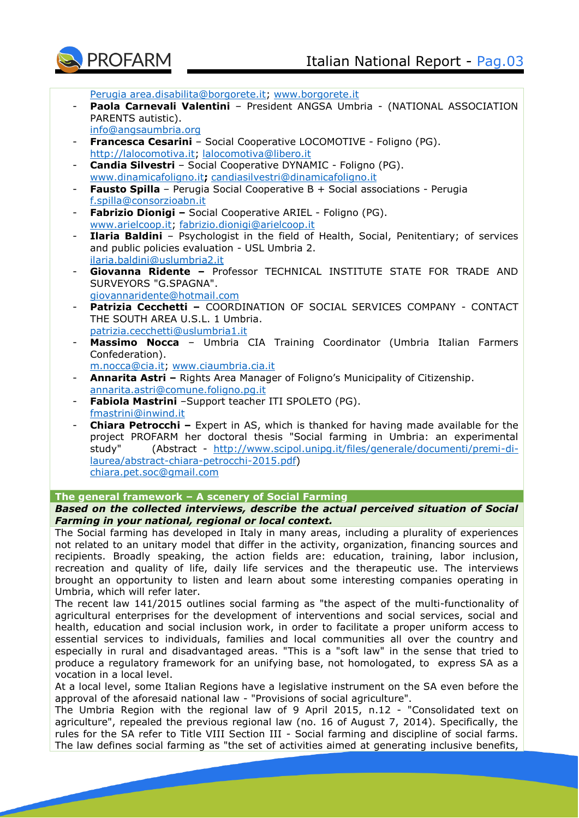

[Perugia area.disabilita@borgorete.it;](mailto:–Perugia%20area.disabilita@borgorete.it) [www.borgorete.it](http://www.borgorete.it/)

- Paola Carnevali Valentini President ANGSA Umbria (NATIONAL ASSOCIATION PARENTS autistic). [info@angsaumbria.org](mailto:info@angsaumbria.org)
- **Francesca Cesarini**  Social Cooperative LOCOMOTIVE Foligno (PG). [http://lalocomotiva.it;](http://lalocomotiva.it/) [lalocomotiva@libero.it](mailto:lalocomotiva@libero.it)
- **Candia Silvestri**  Social Cooperative DYNAMIC Foligno (PG). [www.dinamicafoligno.it](http://www.dinamicafoligno.it/)**;** [candiasilvestri@dinamicafoligno.it](mailto:candiasilvestri@dinamicafoligno.it)
- **Fausto Spilla** Perugia Social Cooperative B + Social associations Perugia [f.spilla@consorzioabn.it](mailto:f.spilla@consorzioabn.it)
- **Fabrizio Dionigi –** Social Cooperative ARIEL Foligno (PG). [www.arielcoop.it;](http://www.arielcoop.it/) [fabrizio.dionigi@arielcoop.it](mailto:fabrizio.dionigi@arielcoop.it)
- **Ilaria Baldini**  Psychologist in the field of Health, Social, Penitentiary; of services and public policies evaluation - USL Umbria 2. [ilaria.baldini@uslumbria2.it](mailto:ilaria.baldini@uslumbria2.it)
- Giovanna Ridente Professor TECHNICAL INSTITUTE STATE FOR TRADE AND SURVEYORS "G.SPAGNA". [giovannaridente@hotmail.com](mailto:giovannaridente@hotmail.com)
- **Patrizia Cecchetti –** COORDINATION OF SOCIAL SERVICES COMPANY CONTACT THE SOUTH AREA U.S.L. 1 Umbria. [patrizia.cecchetti@uslumbria1.it](mailto:patrizia.cecchetti@uslumbria1.it)
- **Massimo Nocca** Umbria CIA Training Coordinator (Umbria Italian Farmers Confederation).
	- [m.nocca@cia.it;](mailto:m.nocca@cia.it) [www.ciaumbria.cia.it](http://www.ciaumbria.cia.it/)
- **Annarita Astri –** Rights Area Manager of Foligno's Municipality of Citizenship. [annarita.astri@comune.foligno.pg.it](mailto:annarita.astri@comune.foligno.pg.it)
- Fabiola Mastrini Support teacher ITI SPOLETO (PG). [fmastrini@inwind.it](mailto:fmastrini@inwind.it)
- **Chiara Petrocchi** Expert in AS, which is thanked for having made available for the project PROFARM her doctoral thesis "Social farming in Umbria: an experimental study" (Abstract - [http://www.scipol.unipg.it/files/generale/documenti/premi-di](http://www.scipol.unipg.it/files/generale/documenti/premi-di-laurea/abstract-chiara-petrocchi-2015.pdf)[laurea/abstract-chiara-petrocchi-2015.pdf\)](http://www.scipol.unipg.it/files/generale/documenti/premi-di-laurea/abstract-chiara-petrocchi-2015.pdf) [chiara.pet.soc@gmail.com](mailto:chiara.pet.soc@gmail.com)

## **The general framework – A scenery of Social Farming**

## *Based on the collected interviews, describe the actual perceived situation of Social Farming in your national, regional or local context.*

The Social farming has developed in Italy in many areas, including a plurality of experiences not related to an unitary model that differ in the activity, organization, financing sources and recipients. Broadly speaking, the action fields are: education, training, labor inclusion, recreation and quality of life, daily life services and the therapeutic use. The interviews brought an opportunity to listen and learn about some interesting companies operating in Umbria, which will refer later.

The recent law 141/2015 outlines social farming as "the aspect of the multi-functionality of agricultural enterprises for the development of interventions and social services, social and health, education and social inclusion work, in order to facilitate a proper uniform access to essential services to individuals, families and local communities all over the country and especially in rural and disadvantaged areas. "This is a "soft law" in the sense that tried to produce a regulatory framework for an unifying base, not homologated, to express SA as a vocation in a local level.

At a local level, some Italian Regions have a legislative instrument on the SA even before the approval of the aforesaid national law - "Provisions of social agriculture".

The Umbria Region with the regional law of 9 April 2015, n.12 - "Consolidated text on agriculture", repealed the previous regional law (no. 16 of August 7, 2014). Specifically, the rules for the SA refer to Title VIII Section III - Social farming and discipline of social farms. The law defines social farming as "the set of activities aimed at generating inclusive benefits,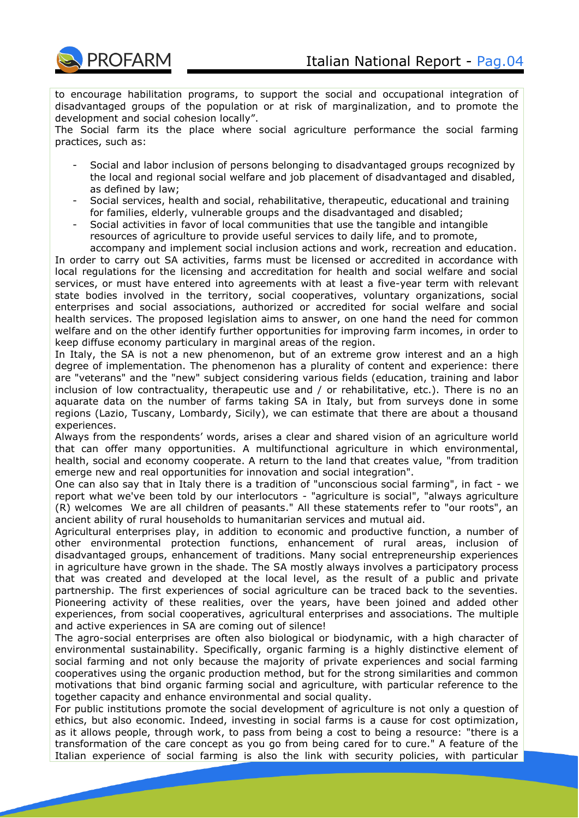

to encourage habilitation programs, to support the social and occupational integration of disadvantaged groups of the population or at risk of marginalization, and to promote the development and social cohesion locally".

The Social farm its the place where social agriculture performance the social farming practices, such as:

- Social and labor inclusion of persons belonging to disadvantaged groups recognized by the local and regional social welfare and job placement of disadvantaged and disabled, as defined by law;
- Social services, health and social, rehabilitative, therapeutic, educational and training for families, elderly, vulnerable groups and the disadvantaged and disabled;
- Social activities in favor of local communities that use the tangible and intangible resources of agriculture to provide useful services to daily life, and to promote,

accompany and implement social inclusion actions and work, recreation and education. In order to carry out SA activities, farms must be licensed or accredited in accordance with local regulations for the licensing and accreditation for health and social welfare and social services, or must have entered into agreements with at least a five-year term with relevant state bodies involved in the territory, social cooperatives, voluntary organizations, social enterprises and social associations, authorized or accredited for social welfare and social health services. The proposed legislation aims to answer, on one hand the need for common welfare and on the other identify further opportunities for improving farm incomes, in order to keep diffuse economy particulary in marginal areas of the region.

In Italy, the SA is not a new phenomenon, but of an extreme grow interest and an a high degree of implementation. The phenomenon has a plurality of content and experience: there are "veterans" and the "new" subject considering various fields (education, training and labor inclusion of low contractuality, therapeutic use and / or rehabilitative, etc.). There is no an aquarate data on the number of farms taking SA in Italy, but from surveys done in some regions (Lazio, Tuscany, Lombardy, Sicily), we can estimate that there are about a thousand experiences.

Always from the respondents' words, arises a clear and shared vision of an agriculture world that can offer many opportunities. A multifunctional agriculture in which environmental, health, social and economy cooperate. A return to the land that creates value, "from tradition emerge new and real opportunities for innovation and social integration".

One can also say that in Italy there is a tradition of "unconscious social farming", in fact - we report what we've been told by our interlocutors - "agriculture is social", "always agriculture (R) welcomes We are all children of peasants." All these statements refer to "our roots", an ancient ability of rural households to humanitarian services and mutual aid.

Agricultural enterprises play, in addition to economic and productive function, a number of other environmental protection functions, enhancement of rural areas, inclusion of disadvantaged groups, enhancement of traditions. Many social entrepreneurship experiences in agriculture have grown in the shade. The SA mostly always involves a participatory process that was created and developed at the local level, as the result of a public and private partnership. The first experiences of social agriculture can be traced back to the seventies. Pioneering activity of these realities, over the years, have been joined and added other experiences, from social cooperatives, agricultural enterprises and associations. The multiple and active experiences in SA are coming out of silence!

The agro-social enterprises are often also biological or biodynamic, with a high character of environmental sustainability. Specifically, organic farming is a highly distinctive element of social farming and not only because the majority of private experiences and social farming cooperatives using the organic production method, but for the strong similarities and common motivations that bind organic farming social and agriculture, with particular reference to the together capacity and enhance environmental and social quality.

For public institutions promote the social development of agriculture is not only a question of ethics, but also economic. Indeed, investing in social farms is a cause for cost optimization, as it allows people, through work, to pass from being a cost to being a resource: "there is a transformation of the care concept as you go from being cared for to cure." A feature of the Italian experience of social farming is also the link with security policies, with particular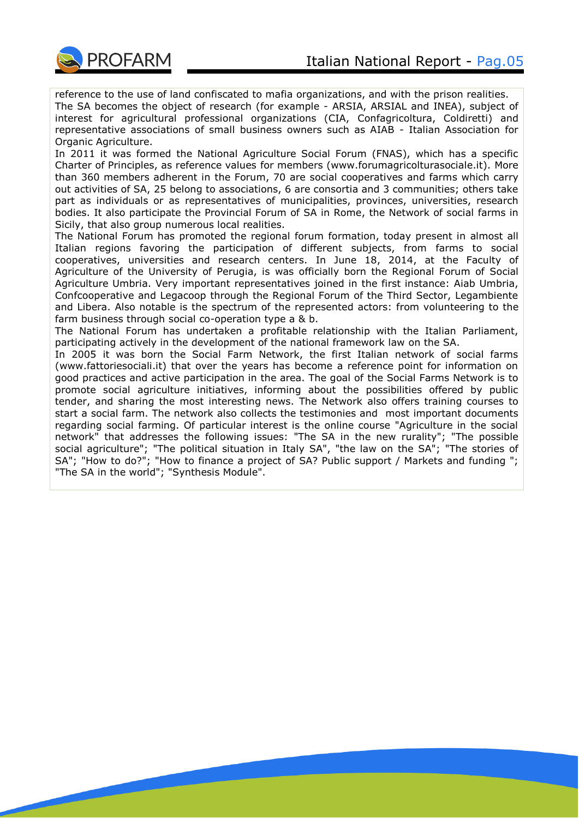

reference to the use of land confiscated to mafia organizations, and with the prison realities. The SA becomes the object of research (for example - ARSIA, ARSIAL and INEA), subject of interest for agricultural professional organizations (CIA, Confagricoltura, Coldiretti) and representative associations of small business owners such as AIAB - Italian Association for Organic Agriculture.

In 2011 it was formed the National Agriculture Social Forum (FNAS), which has a specific Charter of Principles, as reference values for members (www.forumagricolturasociale.it). More than 360 members adherent in the Forum, 70 are social cooperatives and farms which carry out activities of SA, 25 belong to associations, 6 are consortia and 3 communities; others take part as individuals or as representatives of municipalities, provinces, universities, research bodies. It also participate the Provincial Forum of SA in Rome, the Network of social farms in Sicily, that also group numerous local realities.

The National Forum has promoted the regional forum formation, today present in almost all Italian regions favoring the participation of different subjects, from farms to social cooperatives, universities and research centers. In June 18, 2014, at the Faculty of Agriculture of the University of Perugia, is was officially born the Regional Forum of Social Agriculture Umbria. Very important representatives joined in the first instance: Aiab Umbria, Confcooperative and Legacoop through the Regional Forum of the Third Sector, Legambiente and Libera. Also notable is the spectrum of the represented actors: from volunteering to the farm business through social co-operation type a & b.

The National Forum has undertaken a profitable relationship with the Italian Parliament, participating actively in the development of the national framework law on the SA.

In 2005 it was born the Social Farm Network, the first Italian network of social farms (www.fattoriesociali.it) that over the years has become a reference point for information on good practices and active participation in the area. The goal of the Social Farms Network is to promote social agriculture initiatives, informing about the possibilities offered by public tender, and sharing the most interesting news. The Network also offers training courses to start a social farm. The network also collects the testimonies and most important documents regarding social farming. Of particular interest is the online course "Agriculture in the social network" that addresses the following issues: "The SA in the new rurality"; "The possible social agriculture"; "The political situation in Italy SA", "the law on the SA"; "The stories of SA"; "How to do?"; "How to finance a project of SA? Public support / Markets and funding "; "The SA in the world"; "Synthesis Module".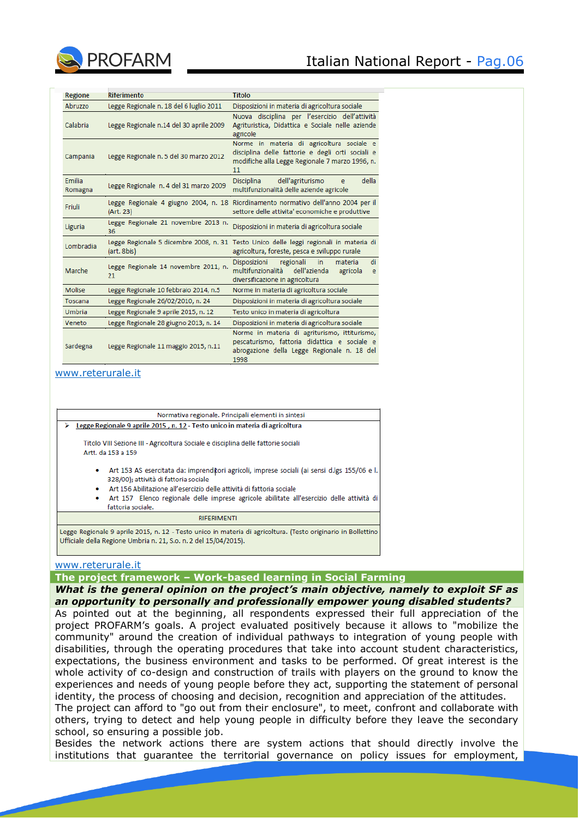

| <b>Regione</b>           | <b>Riferimento</b>                         | <b>Titolo</b>                                                                                                                                          |
|--------------------------|--------------------------------------------|--------------------------------------------------------------------------------------------------------------------------------------------------------|
| Abruzzo                  | Legge Regionale n. 18 del 6 luglio 2011    | Disposizioni in materia di agricoltura sociale                                                                                                         |
| Calabria                 | Legge Regionale n.14 del 30 aprile 2009    | Nuova disciplina per l'esercizio dell'attività<br>Agrituristica, Didattica e Sociale nelle aziende<br>agricole                                         |
| Campania                 | Legge Regionale n. 5 del 30 marzo 2012     | Norme in materia di agricoltura sociale e<br>disciplina delle fattorie e degli orti sociali e<br>modifiche alla Legge Regionale 7 marzo 1996, n.<br>11 |
| <b>Fmilia</b><br>Romagna | Legge Regionale n. 4 del 31 marzo 2009     | dell'agriturismo<br>della<br>Disciplina<br>e<br>multifunzionalità delle aziende agricole                                                               |
| Friuli                   | (Art. 23)                                  | Legge Regionale 4 giugno 2004, n. 18 Riordinamento normativo dell'anno 2004 per il<br>settore delle attivita' economiche e produttive                  |
| Liguria                  | Legge Regionale 21 novembre 2013 n.<br>36  | Disposizioni in materia di agricoltura sociale                                                                                                         |
| Lombradia                | (art. 8bis)                                | Legge Regionale 5 dicembre 2008, n. 31 Testo Unico delle leggi regionali in materia di<br>agricoltura, foreste, pesca e sviluppo rurale                |
| Marche                   | Legge Regionale 14 novembre 2011, n.<br>21 | di<br>Disposizioni<br>regionali<br>in.<br>materia<br>multifunzionalità<br>dell'azienda<br>agricola<br>e<br>diversificazione in agricoltura             |
| <b>Molise</b>            | Legge Regionale 10 febbraio 2014, n.5      | Norme in materia di agricoltura sociale                                                                                                                |
| Toscana                  | Legge Regionale 26/02/2010, n. 24          | Disposizioni in materia di agricoltura sociale                                                                                                         |
| Umbria                   | Legge Regionale 9 aprile 2015, n. 12       | Testo unico in materia di agricoltura                                                                                                                  |
| Veneto                   | Legge Regionale 28 giugno 2013, n. 14      | Disposizioni in materia di agricoltura sociale                                                                                                         |
| Sardegna                 | Legge Regionale 11 maggio 2015, n.11       | Norme in materia di agriturismo, ittiturismo,<br>pescaturismo, fattoria didattica e sociale e<br>abrogazione della Legge Regionale n. 18 del           |

[www.reterurale.it](http://www.reterurale.it/)

| Normativa regionale. Principali elementi in sintesi                                                                                                                                                                                                                                                                                             |  |  |
|-------------------------------------------------------------------------------------------------------------------------------------------------------------------------------------------------------------------------------------------------------------------------------------------------------------------------------------------------|--|--|
| Legge Regionale 9 aprile 2015, n. 12 - Testo unico in materia di agricoltura                                                                                                                                                                                                                                                                    |  |  |
| Titolo VIII Sezione III - Agricoltura Sociale e disciplina delle fattorie sociali<br>Artt. da 153 a 159                                                                                                                                                                                                                                         |  |  |
| Art 153 AS esercitata da: imprenditori agricoli, imprese sociali (ai sensi d.lgs 155/06 e l.<br>۰<br>328/00); attività di fattoria sociale<br>Art 156 Abilitazione all'esercizio delle attività di fattoria sociale<br>٠<br>Art 157 Elenco regionale delle imprese agricole abilitate all'esercizio delle attività di<br>٠<br>fattoria sociale. |  |  |
| <b>RIFERIMENTI</b>                                                                                                                                                                                                                                                                                                                              |  |  |
| Legge Regionale 9 aprile 2015, n. 12 - Testo unico in materia di agricoltura. (Testo originario in Bollettino<br>Ufficiale della Regione Umbria n. 21, S.o. n. 2 del 15/04/2015).                                                                                                                                                               |  |  |

#### [www.reterurale.it](http://www.reterurale.it/)

**The project framework – Work-based learning in Social Farming**

*What is the general opinion on the project's main objective, namely to exploit SF as an opportunity to personally and professionally empower young disabled students?* 

As pointed out at the beginning, all respondents expressed their full appreciation of the project PROFARM's goals. A project evaluated positively because it allows to "mobilize the community" around the creation of individual pathways to integration of young people with disabilities, through the operating procedures that take into account student characteristics, expectations, the business environment and tasks to be performed. Of great interest is the whole activity of co-design and construction of trails with players on the ground to know the experiences and needs of young people before they act, supporting the statement of personal identity, the process of choosing and decision, recognition and appreciation of the attitudes. The project can afford to "go out from their enclosure", to meet, confront and collaborate with

others, trying to detect and help young people in difficulty before they leave the secondary school, so ensuring a possible job.

Besides the network actions there are system actions that should directly involve the institutions that guarantee the territorial governance on policy issues for employment,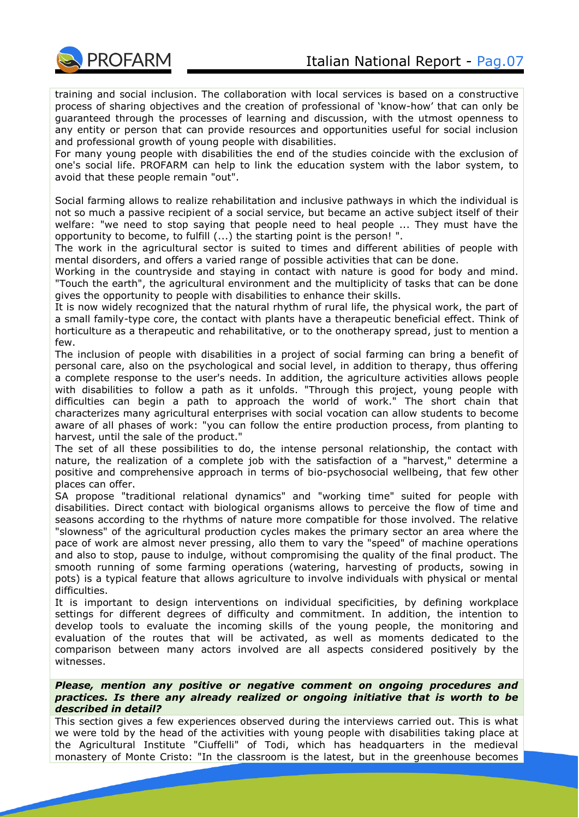

training and social inclusion. The collaboration with local services is based on a constructive process of sharing objectives and the creation of professional of 'know-how' that can only be guaranteed through the processes of learning and discussion, with the utmost openness to any entity or person that can provide resources and opportunities useful for social inclusion and professional growth of young people with disabilities.

For many young people with disabilities the end of the studies coincide with the exclusion of one's social life. PROFARM can help to link the education system with the labor system, to avoid that these people remain "out".

Social farming allows to realize rehabilitation and inclusive pathways in which the individual is not so much a passive recipient of a social service, but became an active subject itself of their welfare: "we need to stop saying that people need to heal people ... They must have the opportunity to become, to fulfill (...) the starting point is the person! ".

The work in the agricultural sector is suited to times and different abilities of people with mental disorders, and offers a varied range of possible activities that can be done.

Working in the countryside and staying in contact with nature is good for body and mind. "Touch the earth", the agricultural environment and the multiplicity of tasks that can be done gives the opportunity to people with disabilities to enhance their skills.

It is now widely recognized that the natural rhythm of rural life, the physical work, the part of a small family-type core, the contact with plants have a therapeutic beneficial effect. Think of horticulture as a therapeutic and rehabilitative, or to the onotherapy spread, just to mention a few.

The inclusion of people with disabilities in a project of social farming can bring a benefit of personal care, also on the psychological and social level, in addition to therapy, thus offering a complete response to the user's needs. In addition, the agriculture activities allows people with disabilities to follow a path as it unfolds. "Through this project, young people with difficulties can begin a path to approach the world of work." The short chain that characterizes many agricultural enterprises with social vocation can allow students to become aware of all phases of work: "you can follow the entire production process, from planting to harvest, until the sale of the product."

The set of all these possibilities to do, the intense personal relationship, the contact with nature, the realization of a complete job with the satisfaction of a "harvest," determine a positive and comprehensive approach in terms of bio-psychosocial wellbeing, that few other places can offer.

SA propose "traditional relational dynamics" and "working time" suited for people with disabilities. Direct contact with biological organisms allows to perceive the flow of time and seasons according to the rhythms of nature more compatible for those involved. The relative "slowness" of the agricultural production cycles makes the primary sector an area where the pace of work are almost never pressing, allo them to vary the "speed" of machine operations and also to stop, pause to indulge, without compromising the quality of the final product. The smooth running of some farming operations (watering, harvesting of products, sowing in pots) is a typical feature that allows agriculture to involve individuals with physical or mental difficulties.

It is important to design interventions on individual specificities, by defining workplace settings for different degrees of difficulty and commitment. In addition, the intention to develop tools to evaluate the incoming skills of the young people, the monitoring and evaluation of the routes that will be activated, as well as moments dedicated to the comparison between many actors involved are all aspects considered positively by the witnesses.

#### *Please, mention any positive or negative comment on ongoing procedures and practices. Is there any already realized or ongoing initiative that is worth to be described in detail?*

This section gives a few experiences observed during the interviews carried out. This is what we were told by the head of the activities with young people with disabilities taking place at the Agricultural Institute "Ciuffelli" of Todi, which has headquarters in the medieval monastery of Monte Cristo: "In the classroom is the latest, but in the greenhouse becomes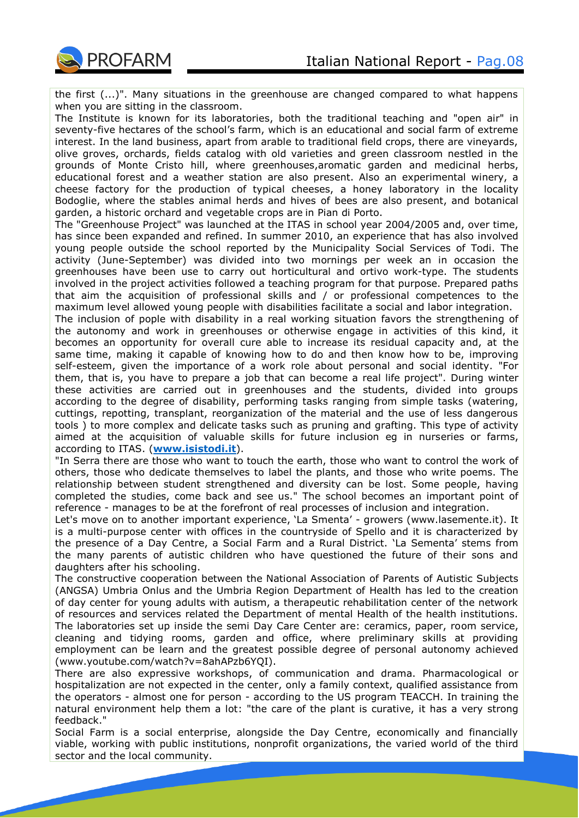

the first (...)". Many situations in the greenhouse are changed compared to what happens when you are sitting in the classroom.

The Institute is known for its laboratories, both the traditional teaching and "open air" in seventy-five hectares of the school's farm, which is an educational and social farm of extreme interest. In the land business, apart from arable to traditional field crops, there are vineyards, olive groves, orchards, fields catalog with old varieties and green classroom nestled in the grounds of Monte Cristo hill, where greenhouses,aromatic garden and medicinal herbs, educational forest and a weather station are also present. Also an experimental winery, a cheese factory for the production of typical cheeses, a honey laboratory in the locality Bodoglie, where the stables animal herds and hives of bees are also present, and botanical garden, a historic orchard and vegetable crops are in Pian di Porto.

The "Greenhouse Project" was launched at the ITAS in school year 2004/2005 and, over time, has since been expanded and refined. In summer 2010, an experience that has also involved young people outside the school reported by the Municipality Social Services of Todi. The activity (June-September) was divided into two mornings per week an in occasion the greenhouses have been use to carry out horticultural and ortivo work-type. The students involved in the project activities followed a teaching program for that purpose. Prepared paths that aim the acquisition of professional skills and / or professional competences to the maximum level allowed young people with disabilities facilitate a social and labor integration.

The inclusion of pople with disability in a real working situation favors the strengthening of the autonomy and work in greenhouses or otherwise engage in activities of this kind, it becomes an opportunity for overall cure able to increase its residual capacity and, at the same time, making it capable of knowing how to do and then know how to be, improving self-esteem, given the importance of a work role about personal and social identity. "For them, that is, you have to prepare a job that can become a real life project". During winter these activities are carried out in greenhouses and the students, divided into groups according to the degree of disability, performing tasks ranging from simple tasks (watering, cuttings, repotting, transplant, reorganization of the material and the use of less dangerous tools ) to more complex and delicate tasks such as pruning and grafting. This type of activity aimed at the acquisition of valuable skills for future inclusion eg in nurseries or farms, according to ITAS. (**[www.isistodi.it](http://www.isistodi.it/)**).

"In Serra there are those who want to touch the earth, those who want to control the work of others, those who dedicate themselves to label the plants, and those who write poems. The relationship between student strengthened and diversity can be lost. Some people, having completed the studies, come back and see us." The school becomes an important point of reference - manages to be at the forefront of real processes of inclusion and integration.

Let's move on to another important experience, 'La Smenta' - growers (www.lasemente.it). It is a multi-purpose center with offices in the countryside of Spello and it is characterized by the presence of a Day Centre, a Social Farm and a Rural District. 'La Sementa' stems from the many parents of autistic children who have questioned the future of their sons and daughters after his schooling.

The constructive cooperation between the National Association of Parents of Autistic Subjects (ANGSA) Umbria Onlus and the Umbria Region Department of Health has led to the creation of day center for young adults with autism, a therapeutic rehabilitation center of the network of resources and services related the Department of mental Health of the health institutions. The laboratories set up inside the semi Day Care Center are: ceramics, paper, room service, cleaning and tidying rooms, garden and office, where preliminary skills at providing employment can be learn and the greatest possible degree of personal autonomy achieved (www.youtube.com/watch?v=8ahAPzb6YQI).

There are also expressive workshops, of communication and drama. Pharmacological or hospitalization are not expected in the center, only a family context, qualified assistance from the operators - almost one for person - according to the US program TEACCH. In training the natural environment help them a lot: "the care of the plant is curative, it has a very strong feedback."

Social Farm is a social enterprise, alongside the Day Centre, economically and financially viable, working with public institutions, nonprofit organizations, the varied world of the third sector and the local community.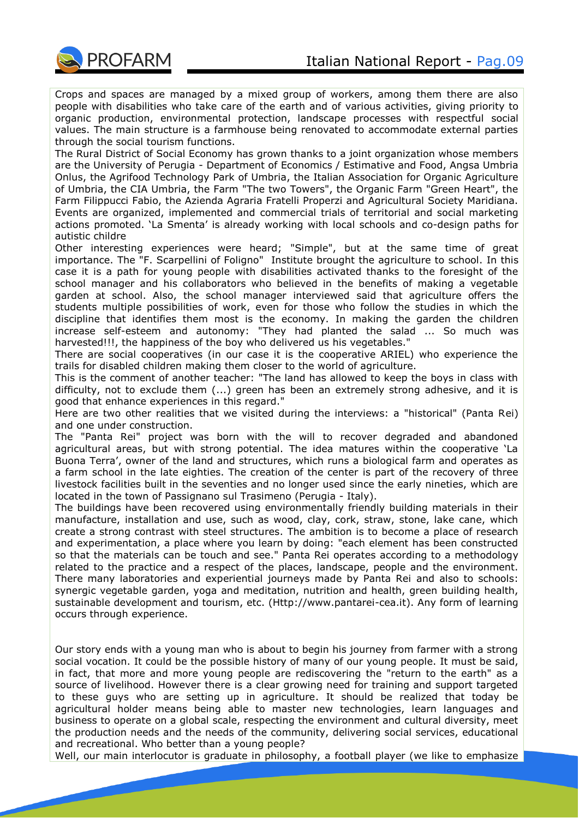

Crops and spaces are managed by a mixed group of workers, among them there are also people with disabilities who take care of the earth and of various activities, giving priority to organic production, environmental protection, landscape processes with respectful social values. The main structure is a farmhouse being renovated to accommodate external parties through the social tourism functions.

The Rural District of Social Economy has grown thanks to a joint organization whose members are the University of Perugia - Department of Economics / Estimative and Food, Angsa Umbria Onlus, the Agrifood Technology Park of Umbria, the Italian Association for Organic Agriculture of Umbria, the CIA Umbria, the Farm "The two Towers", the Organic Farm "Green Heart", the Farm Filippucci Fabio, the Azienda Agraria Fratelli Properzi and Agricultural Society Maridiana. Events are organized, implemented and commercial trials of territorial and social marketing actions promoted. 'La Smenta' is already working with local schools and co-design paths for autistic childre

Other interesting experiences were heard; "Simple", but at the same time of great importance. The "F. Scarpellini of Foligno" Institute brought the agriculture to school. In this case it is a path for young people with disabilities activated thanks to the foresight of the school manager and his collaborators who believed in the benefits of making a vegetable garden at school. Also, the school manager interviewed said that agriculture offers the students multiple possibilities of work, even for those who follow the studies in which the discipline that identifies them most is the economy. In making the garden the children increase self-esteem and autonomy: "They had planted the salad ... So much was harvested!!!, the happiness of the boy who delivered us his vegetables."

There are social cooperatives (in our case it is the cooperative ARIEL) who experience the trails for disabled children making them closer to the world of agriculture.

This is the comment of another teacher: "The land has allowed to keep the boys in class with difficulty, not to exclude them (...) green has been an extremely strong adhesive, and it is good that enhance experiences in this regard."

Here are two other realities that we visited during the interviews: a "historical" (Panta Rei) and one under construction.

The "Panta Rei" project was born with the will to recover degraded and abandoned agricultural areas, but with strong potential. The idea matures within the cooperative 'La Buona Terra', owner of the land and structures, which runs a biological farm and operates as a farm school in the late eighties. The creation of the center is part of the recovery of three livestock facilities built in the seventies and no longer used since the early nineties, which are located in the town of Passignano sul Trasimeno (Perugia - Italy).

The buildings have been recovered using environmentally friendly building materials in their manufacture, installation and use, such as wood, clay, cork, straw, stone, lake cane, which create a strong contrast with steel structures. The ambition is to become a place of research and experimentation, a place where you learn by doing: "each element has been constructed so that the materials can be touch and see." Panta Rei operates according to a methodology related to the practice and a respect of the places, landscape, people and the environment. There many laboratories and experiential journeys made by Panta Rei and also to schools: synergic vegetable garden, yoga and meditation, nutrition and health, green building health, sustainable development and tourism, etc. (Http://www.pantarei-cea.it). Any form of learning occurs through experience.

Our story ends with a young man who is about to begin his journey from farmer with a strong social vocation. It could be the possible history of many of our young people. It must be said, in fact, that more and more young people are rediscovering the "return to the earth" as a source of livelihood. However there is a clear growing need for training and support targeted to these guys who are setting up in agriculture. It should be realized that today be agricultural holder means being able to master new technologies, learn languages and business to operate on a global scale, respecting the environment and cultural diversity, meet the production needs and the needs of the community, delivering social services, educational and recreational. Who better than a young people?

Well, our main interlocutor is graduate in philosophy, a football player (we like to emphasize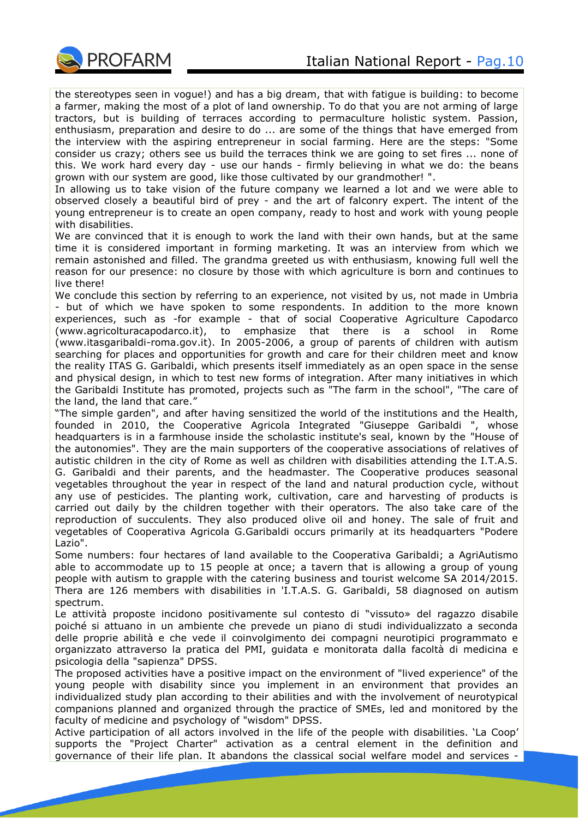

the stereotypes seen in vogue!) and has a big dream, that with fatigue is building: to become a farmer, making the most of a plot of land ownership. To do that you are not arming of large tractors, but is building of terraces according to permaculture holistic system. Passion, enthusiasm, preparation and desire to do ... are some of the things that have emerged from the interview with the aspiring entrepreneur in social farming. Here are the steps: "Some consider us crazy; others see us build the terraces think we are going to set fires ... none of this. We work hard every day - use our hands - firmly believing in what we do: the beans grown with our system are good, like those cultivated by our grandmother! ".

In allowing us to take vision of the future company we learned a lot and we were able to observed closely a beautiful bird of prey - and the art of falconry expert. The intent of the young entrepreneur is to create an open company, ready to host and work with young people with disabilities.

We are convinced that it is enough to work the land with their own hands, but at the same time it is considered important in forming marketing. It was an interview from which we remain astonished and filled. The grandma greeted us with enthusiasm, knowing full well the reason for our presence: no closure by those with which agriculture is born and continues to live there!

We conclude this section by referring to an experience, not visited by us, not made in Umbria - but of which we have spoken to some respondents. In addition to the more known experiences, such as -for example - that of social Cooperative Agriculture Capodarco (www.agricolturacapodarco.it), to emphasize that there is a school in Rome (www.itasgaribaldi-roma.gov.it). In 2005-2006, a group of parents of children with autism searching for places and opportunities for growth and care for their children meet and know the reality ITAS G. Garibaldi, which presents itself immediately as an open space in the sense and physical design, in which to test new forms of integration. After many initiatives in which the Garibaldi Institute has promoted, projects such as "The farm in the school", "The care of the land, the land that care."

"The simple garden", and after having sensitized the world of the institutions and the Health, founded in 2010, the Cooperative Agricola Integrated "Giuseppe Garibaldi ", whose headquarters is in a farmhouse inside the scholastic institute's seal, known by the "House of the autonomies". They are the main supporters of the cooperative associations of relatives of autistic children in the city of Rome as well as children with disabilities attending the I.T.A.S. G. Garibaldi and their parents, and the headmaster. The Cooperative produces seasonal vegetables throughout the year in respect of the land and natural production cycle, without any use of pesticides. The planting work, cultivation, care and harvesting of products is carried out daily by the children together with their operators. The also take care of the reproduction of succulents. They also produced olive oil and honey. The sale of fruit and vegetables of Cooperativa Agricola G.Garibaldi occurs primarily at its headquarters "Podere Lazio".

Some numbers: four hectares of land available to the Cooperativa Garibaldi; a AgriAutismo able to accommodate up to 15 people at once; a tavern that is allowing a group of young people with autism to grapple with the catering business and tourist welcome SA 2014/2015. Thera are 126 members with disabilities in 'I.T.A.S. G. Garibaldi, 58 diagnosed on autism spectrum.

Le attività proposte incidono positivamente sul contesto di "vissuto» del ragazzo disabile poiché si attuano in un ambiente che prevede un piano di studi individualizzato a seconda delle proprie abilità e che vede il coinvolgimento dei compagni neurotipici programmato e organizzato attraverso la pratica del PMI, guidata e monitorata dalla facoltà di medicina e psicologia della "sapienza" DPSS.

The proposed activities have a positive impact on the environment of "lived experience" of the young people with disability since you implement in an environment that provides an individualized study plan according to their abilities and with the involvement of neurotypical companions planned and organized through the practice of SMEs, led and monitored by the faculty of medicine and psychology of "wisdom" DPSS.

Active participation of all actors involved in the life of the people with disabilities. 'La Coop' supports the "Project Charter" activation as a central element in the definition and governance of their life plan. It abandons the classical social welfare model and services -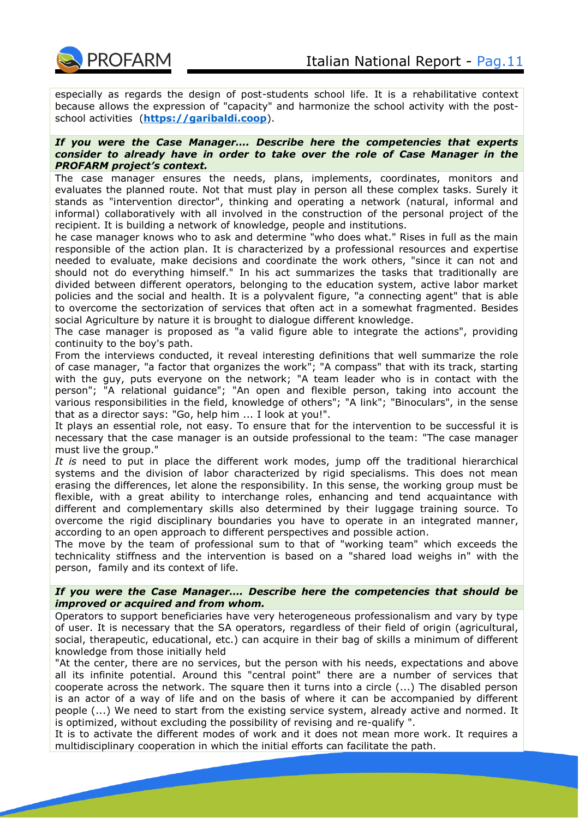especially as regards the design of post-students school life. It is a rehabilitative context because allows the expression of "capacity" and harmonize the school activity with the postschool activities (**[https://garibaldi.coop](https://garibaldi.coop/)**).

#### *If you were the Case Manager…. Describe here the competencies that experts consider to already have in order to take over the role of Case Manager in the PROFARM project's context.*

The case manager ensures the needs, plans, implements, coordinates, monitors and evaluates the planned route. Not that must play in person all these complex tasks. Surely it stands as "intervention director", thinking and operating a network (natural, informal and informal) collaboratively with all involved in the construction of the personal project of the recipient. It is building a network of knowledge, people and institutions.

he case manager knows who to ask and determine "who does what." Rises in full as the main responsible of the action plan. It is characterized by a professional resources and expertise needed to evaluate, make decisions and coordinate the work others, "since it can not and should not do everything himself." In his act summarizes the tasks that traditionally are divided between different operators, belonging to the education system, active labor market policies and the social and health. It is a polyvalent figure, "a connecting agent" that is able to overcome the sectorization of services that often act in a somewhat fragmented. Besides social Agriculture by nature it is brought to dialogue different knowledge.

The case manager is proposed as "a valid figure able to integrate the actions", providing continuity to the boy's path.

From the interviews conducted, it reveal interesting definitions that well summarize the role of case manager, "a factor that organizes the work"; "A compass" that with its track, starting with the guy, puts everyone on the network; "A team leader who is in contact with the person"; "A relational guidance"; "An open and flexible person, taking into account the various responsibilities in the field, knowledge of others"; "A link"; "Binoculars", in the sense that as a director says: "Go, help him ... I look at you!".

It plays an essential role, not easy. To ensure that for the intervention to be successful it is necessary that the case manager is an outside professional to the team: "The case manager must live the group."

*It is* need to put in place the different work modes, jump off the traditional hierarchical systems and the division of labor characterized by rigid specialisms. This does not mean erasing the differences, let alone the responsibility. In this sense, the working group must be flexible, with a great ability to interchange roles, enhancing and tend acquaintance with different and complementary skills also determined by their luggage training source. To overcome the rigid disciplinary boundaries you have to operate in an integrated manner, according to an open approach to different perspectives and possible action.

The move by the team of professional sum to that of "working team" which exceeds the technicality stiffness and the intervention is based on a "shared load weighs in" with the person, family and its context of life.

## *If you were the Case Manager…. Describe here the competencies that should be improved or acquired and from whom.*

Operators to support beneficiaries have very heterogeneous professionalism and vary by type of user. It is necessary that the SA operators, regardless of their field of origin (agricultural, social, therapeutic, educational, etc.) can acquire in their bag of skills a minimum of different knowledge from those initially held

"At the center, there are no services, but the person with his needs, expectations and above all its infinite potential. Around this "central point" there are a number of services that cooperate across the network. The square then it turns into a circle (...) The disabled person is an actor of a way of life and on the basis of where it can be accompanied by different people (...) We need to start from the existing service system, already active and normed. It is optimized, without excluding the possibility of revising and re-qualify ".

It is to activate the different modes of work and it does not mean more work. It requires a multidisciplinary cooperation in which the initial efforts can facilitate the path.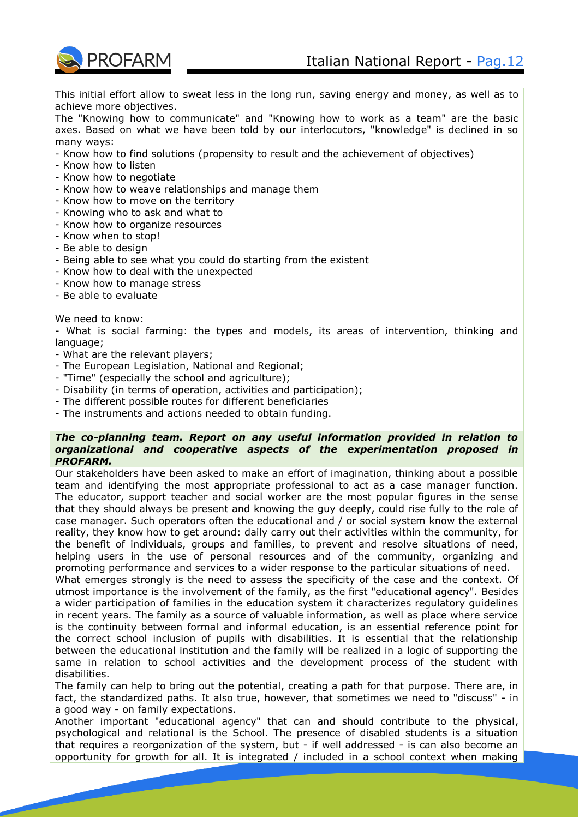

This initial effort allow to sweat less in the long run, saving energy and money, as well as to achieve more objectives.

The "Knowing how to communicate" and "Knowing how to work as a team" are the basic axes. Based on what we have been told by our interlocutors, "knowledge" is declined in so many ways:

- Know how to find solutions (propensity to result and the achievement of objectives)
- Know how to listen
- Know how to negotiate
- Know how to weave relationships and manage them
- Know how to move on the territory
- Knowing who to ask and what to
- Know how to organize resources
- Know when to stop!
- Be able to design
- Being able to see what you could do starting from the existent
- Know how to deal with the unexpected
- Know how to manage stress
- Be able to evaluate

#### We need to know:

- What is social farming: the types and models, its areas of intervention, thinking and language;

- What are the relevant players;
- The European Legislation, National and Regional;
- "Time" (especially the school and agriculture);
- Disability (in terms of operation, activities and participation);
- The different possible routes for different beneficiaries
- The instruments and actions needed to obtain funding.

## *The co-planning team. Report on any useful information provided in relation to organizational and cooperative aspects of the experimentation proposed in PROFARM.*

Our stakeholders have been asked to make an effort of imagination, thinking about a possible team and identifying the most appropriate professional to act as a case manager function. The educator, support teacher and social worker are the most popular figures in the sense that they should always be present and knowing the guy deeply, could rise fully to the role of case manager. Such operators often the educational and / or social system know the external reality, they know how to get around: daily carry out their activities within the community, for the benefit of individuals, groups and families, to prevent and resolve situations of need, helping users in the use of personal resources and of the community, organizing and promoting performance and services to a wider response to the particular situations of need.

What emerges strongly is the need to assess the specificity of the case and the context. Of utmost importance is the involvement of the family, as the first "educational agency". Besides a wider participation of families in the education system it characterizes regulatory guidelines in recent years. The family as a source of valuable information, as well as place where service is the continuity between formal and informal education, is an essential reference point for the correct school inclusion of pupils with disabilities. It is essential that the relationship between the educational institution and the family will be realized in a logic of supporting the same in relation to school activities and the development process of the student with disabilities.

The family can help to bring out the potential, creating a path for that purpose. There are, in fact, the standardized paths. It also true, however, that sometimes we need to "discuss" - in a good way - on family expectations.

Another important "educational agency" that can and should contribute to the physical, psychological and relational is the School. The presence of disabled students is a situation that requires a reorganization of the system, but - if well addressed - is can also become an opportunity for growth for all. It is integrated / included in a school context when making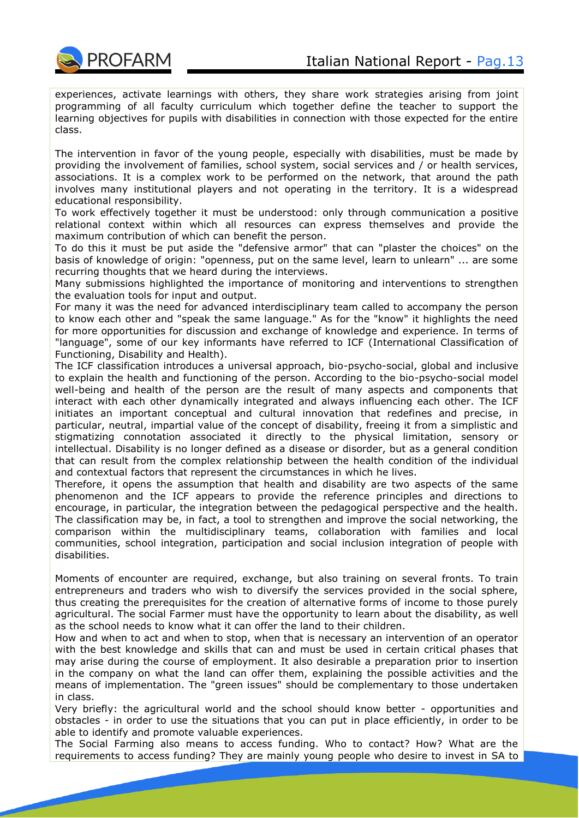experiences, activate learnings with others, they share work strategies arising from joint programming of all faculty curriculum which together define the teacher to support the learning objectives for pupils with disabilities in connection with those expected for the entire class.

The intervention in favor of the young people, especially with disabilities, must be made by providing the involvement of families, school system, social services and / or health services, associations. It is a complex work to be performed on the network, that around the path involves many institutional players and not operating in the territory. It is a widespread educational responsibility.

To work effectively together it must be understood: only through communication a positive relational context within which all resources can express themselves and provide the maximum contribution of which can benefit the person.

To do this it must be put aside the "defensive armor" that can "plaster the choices" on the basis of knowledge of origin: "openness, put on the same level, learn to unlearn" ... are some recurring thoughts that we heard during the interviews.

Many submissions highlighted the importance of monitoring and interventions to strengthen the evaluation tools for input and output.

For many it was the need for advanced interdisciplinary team called to accompany the person to know each other and "speak the same language." As for the "know" it highlights the need for more opportunities for discussion and exchange of knowledge and experience. In terms of "language", some of our key informants have referred to ICF (International Classification of Functioning, Disability and Health).

The ICF classification introduces a universal approach, bio-psycho-social, global and inclusive to explain the health and functioning of the person. According to the bio-psycho-social model well-being and health of the person are the result of many aspects and components that interact with each other dynamically integrated and always influencing each other. The ICF initiates an important conceptual and cultural innovation that redefines and precise, in particular, neutral, impartial value of the concept of disability, freeing it from a simplistic and stigmatizing connotation associated it directly to the physical limitation, sensory or intellectual. Disability is no longer defined as a disease or disorder, but as a general condition that can result from the complex relationship between the health condition of the individual and contextual factors that represent the circumstances in which he lives.

Therefore, it opens the assumption that health and disability are two aspects of the same phenomenon and the ICF appears to provide the reference principles and directions to encourage, in particular, the integration between the pedagogical perspective and the health. The classification may be, in fact, a tool to strengthen and improve the social networking, the comparison within the multidisciplinary teams, collaboration with families and local communities, school integration, participation and social inclusion integration of people with disabilities.

Moments of encounter are required, exchange, but also training on several fronts. To train entrepreneurs and traders who wish to diversify the services provided in the social sphere, thus creating the prerequisites for the creation of alternative forms of income to those purely agricultural. The social Farmer must have the opportunity to learn about the disability, as well as the school needs to know what it can offer the land to their children.

How and when to act and when to stop, when that is necessary an intervention of an operator with the best knowledge and skills that can and must be used in certain critical phases that may arise during the course of employment. It also desirable a preparation prior to insertion in the company on what the land can offer them, explaining the possible activities and the means of implementation. The "green issues" should be complementary to those undertaken in class.

Very briefly: the agricultural world and the school should know better - opportunities and obstacles - in order to use the situations that you can put in place efficiently, in order to be able to identify and promote valuable experiences.

The Social Farming also means to access funding. Who to contact? How? What are the requirements to access funding? They are mainly young people who desire to invest in SA to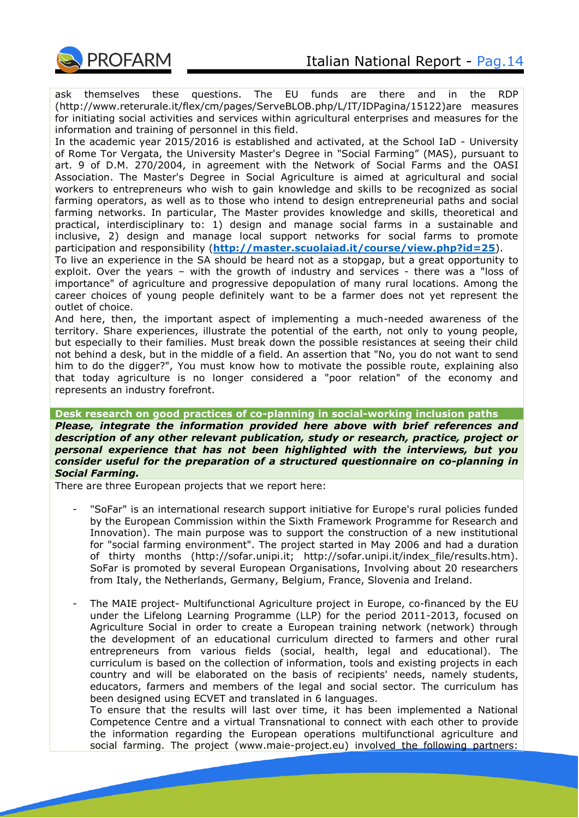

ask themselves these questions. The EU funds are there and in the RDP (http://www.reterurale.it/flex/cm/pages/ServeBLOB.php/L/IT/IDPagina/15122)are measures for initiating social activities and services within agricultural enterprises and measures for the information and training of personnel in this field.

In the academic year 2015/2016 is established and activated, at the School IaD - University of Rome Tor Vergata, the University Master's Degree in "Social Farming" (MAS), pursuant to art. 9 of D.M. 270/2004, in agreement with the Network of Social Farms and the OASI Association. The Master's Degree in Social Agriculture is aimed at agricultural and social workers to entrepreneurs who wish to gain knowledge and skills to be recognized as social farming operators, as well as to those who intend to design entrepreneurial paths and social farming networks. In particular, The Master provides knowledge and skills, theoretical and practical, interdisciplinary to: 1) design and manage social farms in a sustainable and inclusive, 2) design and manage local support networks for social farms to promote participation and responsibility (**<http://master.scuolaiad.it/course/view.php?id=25>**).

To live an experience in the SA should be heard not as a stopgap, but a great opportunity to exploit. Over the years – with the growth of industry and services - there was a "loss of importance" of agriculture and progressive depopulation of many rural locations. Among the career choices of young people definitely want to be a farmer does not yet represent the outlet of choice.

And here, then, the important aspect of implementing a much-needed awareness of the territory. Share experiences, illustrate the potential of the earth, not only to young people, but especially to their families. Must break down the possible resistances at seeing their child not behind a desk, but in the middle of a field. An assertion that "No, you do not want to send him to do the digger?", You must know how to motivate the possible route, explaining also that today agriculture is no longer considered a "poor relation" of the economy and represents an industry forefront.

## **Desk research on good practices of co-planning in social-working inclusion paths**

*Please, integrate the information provided here above with brief references and description of any other relevant publication, study or research, practice, project or personal experience that has not been highlighted with the interviews, but you consider useful for the preparation of a structured questionnaire on co-planning in Social Farming.*

There are three European projects that we report here:

- "SoFar" is an international research support initiative for Europe's rural policies funded by the European Commission within the Sixth Framework Programme for Research and Innovation). The main purpose was to support the construction of a new institutional for "social farming environment". The project started in May 2006 and had a duration of thirty months (http://sofar.unipi.it; http://sofar.unipi.it/index\_file/results.htm). SoFar is promoted by several European Organisations, Involving about 20 researchers from Italy, the Netherlands, Germany, Belgium, France, Slovenia and Ireland.
- The MAIE project- Multifunctional Agriculture project in Europe, co-financed by the EU under the Lifelong Learning Programme (LLP) for the period 2011-2013, focused on Agriculture Social in order to create a European training network (network) through the development of an educational curriculum directed to farmers and other rural entrepreneurs from various fields (social, health, legal and educational). The curriculum is based on the collection of information, tools and existing projects in each country and will be elaborated on the basis of recipients' needs, namely students, educators, farmers and members of the legal and social sector. The curriculum has been designed using ECVET and translated in 6 languages.

To ensure that the results will last over time, it has been implemented a National Competence Centre and a virtual Transnational to connect with each other to provide the information regarding the European operations multifunctional agriculture and social farming. The project (www.maie-project.eu) involved the following partners: